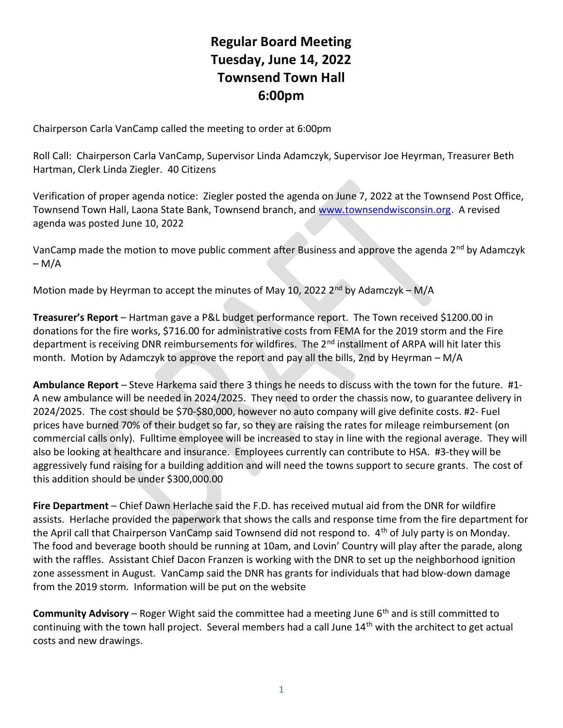# Regular Board Meeting Tuesday, June 14, 2022 Townsend Town Hall 6:00pm

Chairperson Carla VanCamp called the meeting to order at 6:00pm

Roll Call: Chairperson Carla VanCamp, Supervisor Linda Adamczyk, Supervisor Joe Heyrman, Treasurer Beth Hartman, Clerk Linda Ziegler. 40 Citizens

Verification of proper agenda notice: Ziegler posted the agenda on June 7, 2022 at the Townsend Post Office, Townsend Town Hall, Laona State Bank, Townsend branch, and www.townsendwisconsin.org. A revised agenda was posted June 10, 2022

VanCamp made the motion to move public comment after Business and approve the agenda 2<sup>nd</sup> by Adamczyk  $-M/A$ 

Motion made by Heyrman to accept the minutes of May 10, 2022  $2^{nd}$  by Adamczyk – M/A

Treasurer's Report – Hartman gave a P&L budget performance report. The Town received \$1200.00 in donations for the fire works, \$716.00 for administrative costs from FEMA for the 2019 storm and the Fire department is receiving DNR reimbursements for wildfires. The 2<sup>nd</sup> installment of ARPA will hit later this month. Motion by Adamczyk to approve the report and pay all the bills, 2nd by Heyrman – M/A

Ambulance Report – Steve Harkema said there 3 things he needs to discuss with the town for the future. #1- A new ambulance will be needed in 2024/2025. They need to order the chassis now, to guarantee delivery in 2024/2025. The cost should be \$70-\$80,000, however no auto company will give definite costs. #2- Fuel prices have burned 70% of their budget so far, so they are raising the rates for mileage reimbursement (on commercial calls only). Fulltime employee will be increased to stay in line with the regional average. They will also be looking at healthcare and insurance. Employees currently can contribute to HSA. #3-they will be aggressively fund raising for a building addition and will need the towns support to secure grants. The cost of this addition should be under \$300,000.00

Fire Department – Chief Dawn Herlache said the F.D. has received mutual aid from the DNR for wildfire assists. Herlache provided the paperwork that shows the calls and response time from the fire department for the April call that Chairperson VanCamp said Townsend did not respond to. 4<sup>th</sup> of July party is on Monday. The food and beverage booth should be running at 10am, and Lovin' Country will play after the parade, along with the raffles. Assistant Chief Dacon Franzen is working with the DNR to set up the neighborhood ignition zone assessment in August. VanCamp said the DNR has grants for individuals that had blow-down damage from the 2019 storm. Information will be put on the website

**Community Advisory** – Roger Wight said the committee had a meeting June  $6<sup>th</sup>$  and is still committed to continuing with the town hall project. Several members had a call June 14<sup>th</sup> with the architect to get actual costs and new drawings.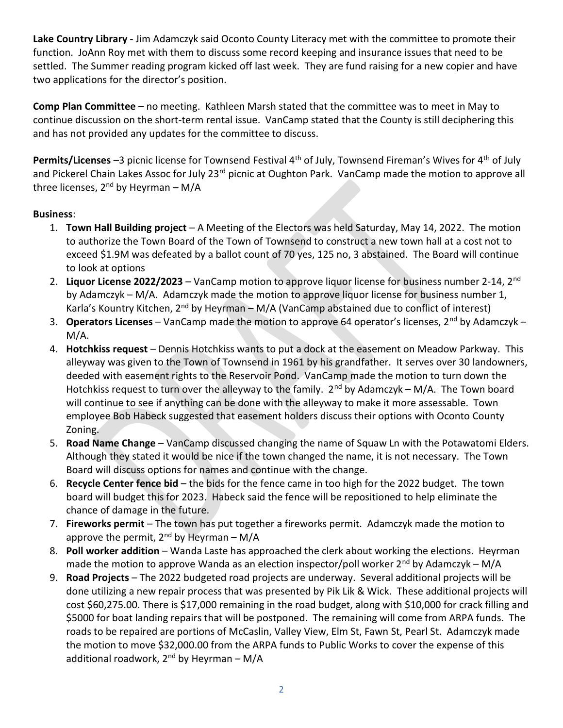Lake Country Library - Jim Adamczyk said Oconto County Literacy met with the committee to promote their function. JoAnn Roy met with them to discuss some record keeping and insurance issues that need to be settled. The Summer reading program kicked off last week. They are fund raising for a new copier and have two applications for the director's position.

Comp Plan Committee – no meeting. Kathleen Marsh stated that the committee was to meet in May to continue discussion on the short-term rental issue. VanCamp stated that the County is still deciphering this and has not provided any updates for the committee to discuss.

Permits/Licenses -3 picnic license for Townsend Festival 4<sup>th</sup> of July, Townsend Fireman's Wives for 4<sup>th</sup> of July and Pickerel Chain Lakes Assoc for July 23<sup>rd</sup> picnic at Oughton Park. VanCamp made the motion to approve all three licenses,  $2^{nd}$  by Heyrman – M/A

## Business:

- 1. Town Hall Building project A Meeting of the Electors was held Saturday, May 14, 2022. The motion to authorize the Town Board of the Town of Townsend to construct a new town hall at a cost not to exceed \$1.9M was defeated by a ballot count of 70 yes, 125 no, 3 abstained. The Board will continue to look at options
- 2. Liquor License 2022/2023 VanCamp motion to approve liquor license for business number 2-14,  $2^{nd}$ by Adamczyk – M/A. Adamczyk made the motion to approve liquor license for business number 1, Karla's Kountry Kitchen,  $2^{nd}$  by Heyrman – M/A (VanCamp abstained due to conflict of interest)
- 3. Operators Licenses VanCamp made the motion to approve 64 operator's licenses,  $2^{nd}$  by Adamczyk M/A.
- 4. Hotchkiss request Dennis Hotchkiss wants to put a dock at the easement on Meadow Parkway. This alleyway was given to the Town of Townsend in 1961 by his grandfather. It serves over 30 landowners, deeded with easement rights to the Reservoir Pond. VanCamp made the motion to turn down the Hotchkiss request to turn over the alleyway to the family.  $2^{nd}$  by Adamczyk – M/A. The Town board will continue to see if anything can be done with the alleyway to make it more assessable. Town employee Bob Habeck suggested that easement holders discuss their options with Oconto County Zoning.
- 5. Road Name Change VanCamp discussed changing the name of Squaw Ln with the Potawatomi Elders. Although they stated it would be nice if the town changed the name, it is not necessary. The Town Board will discuss options for names and continue with the change.
- 6. Recycle Center fence bid the bids for the fence came in too high for the 2022 budget. The town board will budget this for 2023. Habeck said the fence will be repositioned to help eliminate the chance of damage in the future.
- 7. Fireworks permit The town has put together a fireworks permit. Adamczyk made the motion to approve the permit,  $2^{nd}$  by Heyrman – M/A
- 8. Poll worker addition Wanda Laste has approached the clerk about working the elections. Heyrman made the motion to approve Wanda as an election inspector/poll worker  $2^{nd}$  by Adamczyk – M/A
- 9. Road Projects The 2022 budgeted road projects are underway. Several additional projects will be done utilizing a new repair process that was presented by Pik Lik & Wick. These additional projects will cost \$60,275.00. There is \$17,000 remaining in the road budget, along with \$10,000 for crack filling and \$5000 for boat landing repairs that will be postponed. The remaining will come from ARPA funds. The roads to be repaired are portions of McCaslin, Valley View, Elm St, Fawn St, Pearl St. Adamczyk made the motion to move \$32,000.00 from the ARPA funds to Public Works to cover the expense of this additional roadwork,  $2^{nd}$  by Heyrman – M/A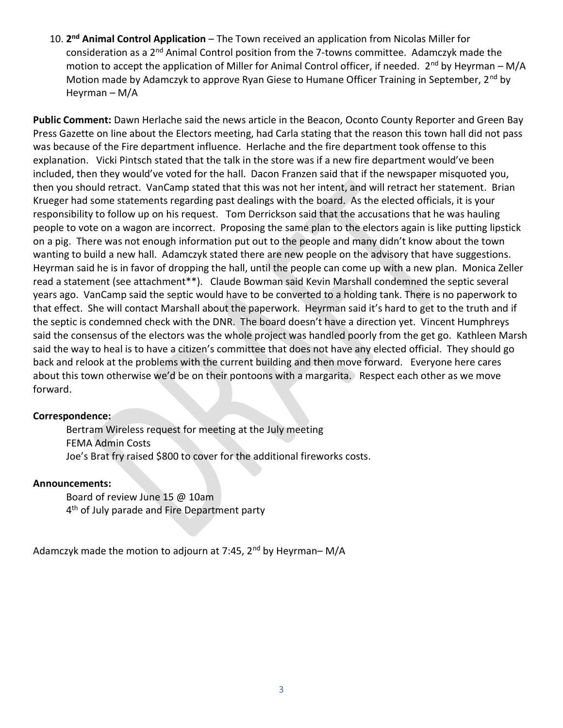10. 2<sup>nd</sup> Animal Control Application – The Town received an application from Nicolas Miller for consideration as a 2nd Animal Control position from the 7-towns committee. Adamczyk made the motion to accept the application of Miller for Animal Control officer, if needed.  $2^{nd}$  by Heyrman – M/A Motion made by Adamczyk to approve Ryan Giese to Humane Officer Training in September, 2<sup>nd</sup> by Heyrman – M/A

Public Comment: Dawn Herlache said the news article in the Beacon, Oconto County Reporter and Green Bay Press Gazette on line about the Electors meeting, had Carla stating that the reason this town hall did not pass was because of the Fire department influence. Herlache and the fire department took offense to this explanation. Vicki Pintsch stated that the talk in the store was if a new fire department would've been included, then they would've voted for the hall. Dacon Franzen said that if the newspaper misquoted you, then you should retract. VanCamp stated that this was not her intent, and will retract her statement. Brian Krueger had some statements regarding past dealings with the board. As the elected officials, it is your responsibility to follow up on his request. Tom Derrickson said that the accusations that he was hauling people to vote on a wagon are incorrect. Proposing the same plan to the electors again is like putting lipstick on a pig. There was not enough information put out to the people and many didn't know about the town wanting to build a new hall. Adamczyk stated there are new people on the advisory that have suggestions. Heyrman said he is in favor of dropping the hall, until the people can come up with a new plan. Monica Zeller read a statement (see attachment\*\*). Claude Bowman said Kevin Marshall condemned the septic several years ago. VanCamp said the septic would have to be converted to a holding tank. There is no paperwork to that effect. She will contact Marshall about the paperwork. Heyrman said it's hard to get to the truth and if the septic is condemned check with the DNR. The board doesn't have a direction yet. Vincent Humphreys said the consensus of the electors was the whole project was handled poorly from the get go. Kathleen Marsh said the way to heal is to have a citizen's committee that does not have any elected official. They should go back and relook at the problems with the current building and then move forward. Everyone here cares about this town otherwise we'd be on their pontoons with a margarita. Respect each other as we move forward.

### Correspondence:

Bertram Wireless request for meeting at the July meeting FEMA Admin Costs Joe's Brat fry raised \$800 to cover for the additional fireworks costs.

### Announcements:

Board of review June 15 @ 10am 4<sup>th</sup> of July parade and Fire Department party

Adamczyk made the motion to adjourn at 7:45,  $2^{nd}$  by Heyrman-M/A